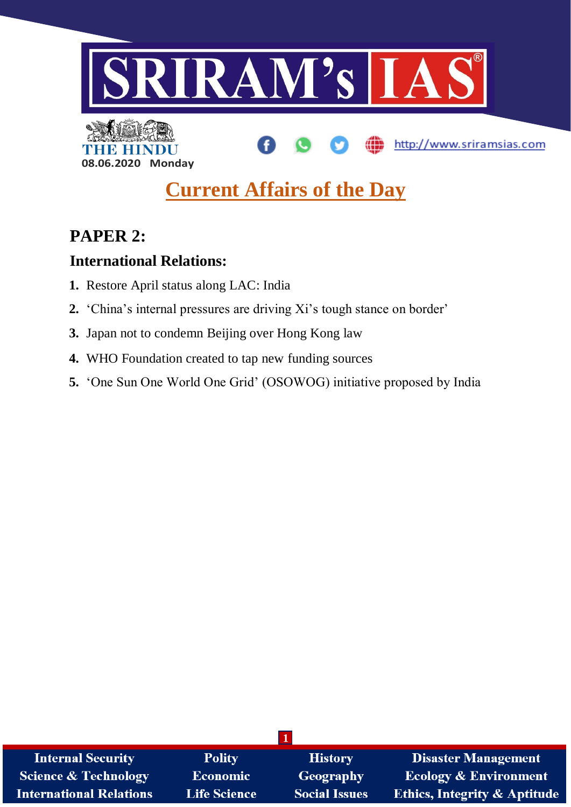



# **Current Affairs of the Day**

# **PAPER 2:**

# **International Relations:**

- **1.** Restore April status along LAC: India
- **2.** 'China's internal pressures are driving Xi's tough stance on border'
- **3.** Japan not to condemn Beijing over Hong Kong law
- **4.** WHO Foundation created to tap new funding sources
- **5.** 'One Sun One World One Grid' (OSOWOG) initiative proposed by India

| <b>Internal Security</b>        | <b>Polity</b>       | <b>History</b>       | <b>Disaster Management</b>              |
|---------------------------------|---------------------|----------------------|-----------------------------------------|
| <b>Science &amp; Technology</b> | <b>Economic</b>     | Geography            | <b>Ecology &amp; Environment</b>        |
| <b>International Relations</b>  | <b>Life Science</b> | <b>Social Issues</b> | <b>Ethics, Integrity &amp; Aptitude</b> |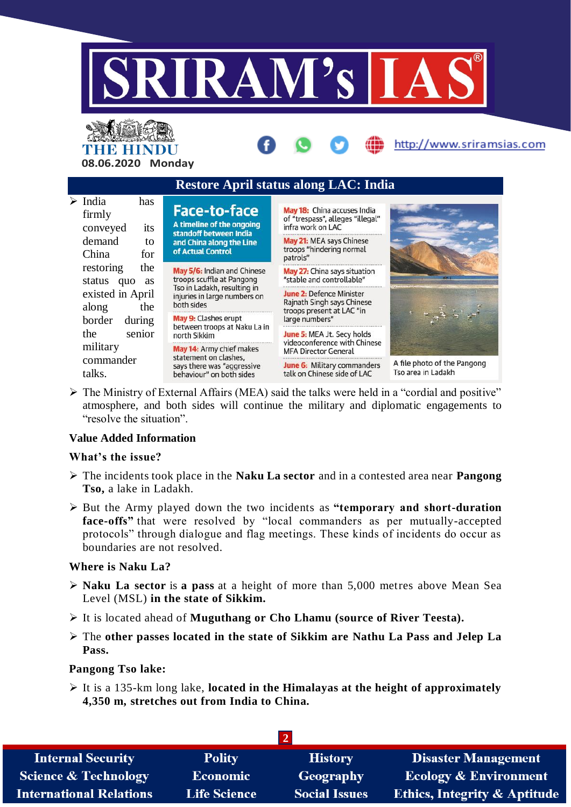

# THE HINDU **08.06.2020 Monday**



 The Ministry of External Affairs (MEA) said the talks were held in a "cordial and positive" atmosphere, and both sides will continue the military and diplomatic engagements to "resolve the situation".

# **Value Added Information**

# **What's the issue?**

- The incidents took place in the **Naku La sector** and in a contested area near **Pangong Tso,** a lake in Ladakh.
- But the Army played down the two incidents as **"temporary and short-duration**  face-offs" that were resolved by "local commanders as per mutually-accepted protocols" through dialogue and flag meetings. These kinds of incidents do occur as boundaries are not resolved.

# **Where is Naku La?**

- **Naku La sector** is **a pass** at a height of more than 5,000 metres above Mean Sea Level (MSL) **in the state of Sikkim.**
- It is located ahead of **Muguthang or Cho Lhamu (source of River Teesta).**
- The **other passes located in the state of Sikkim are Nathu La Pass and Jelep La Pass.**

# **Pangong Tso lake:**

 It is a 135-km long lake, **located in the Himalayas at the height of approximately 4,350 m, stretches out from India to China.**

| <b>Internal Security</b>        | <b>Polity</b>       | <b>History</b>       | <b>Disaster Management</b>              |
|---------------------------------|---------------------|----------------------|-----------------------------------------|
| <b>Science &amp; Technology</b> | <b>Economic</b>     | Geography            | <b>Ecology &amp; Environment</b>        |
| <b>International Relations</b>  | <b>Life Science</b> | <b>Social Issues</b> | <b>Ethics, Integrity &amp; Aptitude</b> |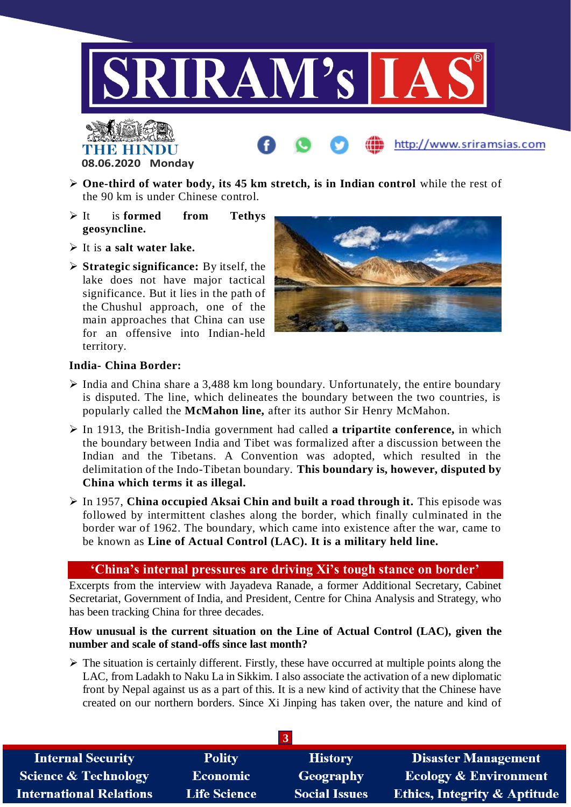

# THE HINDU **08.06.2020 Monday**

- **One-third of water body, its 45 km stretch, is in Indian control** while the rest of the 90 km is under Chinese control.
- It is **formed from Tethys geosyncline.**
- It is **a salt water lake.**
- **Strategic significance:** By itself, the lake does not have major tactical significance. But it lies in the path of the Chushul approach, one of the main approaches that China can use for an offensive into Indian-held territory.



http://www.sriramsias.com

# **India- China Border:**

- $\triangleright$  India and China share a 3,488 km long boundary. Unfortunately, the entire boundary is disputed. The line, which delineates the boundary between the two countries, is popularly called the **McMahon line,** after its author Sir Henry McMahon.
- In 1913, the British-India government had called **a tripartite conference,** in which the boundary between India and Tibet was formalized after a discussion between the Indian and the Tibetans. A Convention was adopted, which resulted in the delimitation of the Indo-Tibetan boundary. **This boundary is, however, disputed by China which terms it as illegal.**
- In 1957, **China occupied Aksai Chin and built a road through it.** This episode was followed by intermittent clashes along the border, which finally culminated in the border war of 1962. The boundary, which came into existence after the war, came to be known as **Line of Actual Control (LAC). It is a military held line.**

# **'China's internal pressures are driving Xi's tough stance on border'**

Excerpts from the interview with Jayadeva Ranade, a former Additional Secretary, Cabinet Secretariat, Government of India, and President, Centre for China Analysis and Strategy, who has been tracking China for three decades.

# **How unusual is the current situation on the Line of Actual Control (LAC), given the number and scale of stand-offs since last month?**

 $\triangleright$  The situation is certainly different. Firstly, these have occurred at multiple points along the LAC, from Ladakh to Naku La in Sikkim. I also associate the activation of a new diplomatic front by Nepal against us as a part of this. It is a new kind of activity that the Chinese have created on our northern borders. Since Xi Jinping has taken over, the nature and kind of

| <b>Internal Security</b>        | <b>Polity</b>       | <b>History</b>       | <b>Disaster Management</b>       |
|---------------------------------|---------------------|----------------------|----------------------------------|
| <b>Science &amp; Technology</b> | <b>Economic</b>     | Geography            | <b>Ecology &amp; Environment</b> |
| <b>International Relations</b>  | <b>Life Science</b> | <b>Social Issues</b> | Ethics, Integrity & Aptitude     |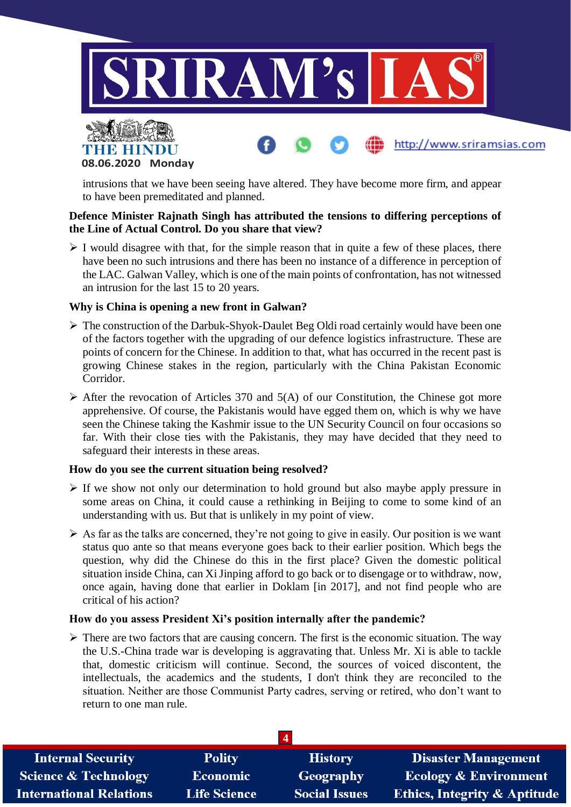



intrusions that we have been seeing have altered. They have become more firm, and appear to have been premeditated and planned.

### **Defence Minister Rajnath Singh has attributed the tensions to differing perceptions of the Line of Actual Control. Do you share that view?**

 $\triangleright$  I would disagree with that, for the simple reason that in quite a few of these places, there have been no such intrusions and there has been no instance of a difference in perception of the LAC. Galwan Valley, which is one of the main points of confrontation, has not witnessed an intrusion for the last 15 to 20 years.

# **Why is China is opening a new front in Galwan?**

- $\triangleright$  The construction of the Darbuk-Shyok-Daulet Beg Oldi road certainly would have been one of the factors together with the upgrading of our defence logistics infrastructure. These are points of concern for the Chinese. In addition to that, what has occurred in the recent past is growing Chinese stakes in the region, particularly with the China Pakistan Economic Corridor.
- $\triangleright$  After the revocation of Articles 370 and 5(A) of our Constitution, the Chinese got more apprehensive. Of course, the Pakistanis would have egged them on, which is why we have seen the Chinese taking the Kashmir issue to the UN Security Council on four occasions so far. With their close ties with the Pakistanis, they may have decided that they need to safeguard their interests in these areas.

#### **How do you see the current situation being resolved?**

- $\triangleright$  If we show not only our determination to hold ground but also maybe apply pressure in some areas on China, it could cause a rethinking in Beijing to come to some kind of an understanding with us. But that is unlikely in my point of view.
- $\triangleright$  As far as the talks are concerned, they're not going to give in easily. Our position is we want status quo ante so that means everyone goes back to their earlier position. Which begs the question, why did the Chinese do this in the first place? Given the domestic political situation inside China, can Xi Jinping afford to go back or to disengage or to withdraw, now, once again, having done that earlier in Doklam [in 2017], and not find people who are critical of his action?

#### **How do you assess President Xi's position internally after the pandemic?**

 $\triangleright$  There are two factors that are causing concern. The first is the economic situation. The way the U.S.-China trade war is developing is aggravating that. Unless Mr. Xi is able to tackle that, domestic criticism will continue. Second, the sources of voiced discontent, the intellectuals, the academics and the students, I don't think they are reconciled to the situation. Neither are those Communist Party cadres, serving or retired, who don't want to return to one man rule.

| <b>Internal Security</b>        | <b>Polity</b>       | <b>History</b>       | <b>Disaster Management</b>              |
|---------------------------------|---------------------|----------------------|-----------------------------------------|
| <b>Science &amp; Technology</b> | <b>Economic</b>     | Geography            | <b>Ecology &amp; Environment</b>        |
| <b>International Relations</b>  | <b>Life Science</b> | <b>Social Issues</b> | <b>Ethics, Integrity &amp; Aptitude</b> |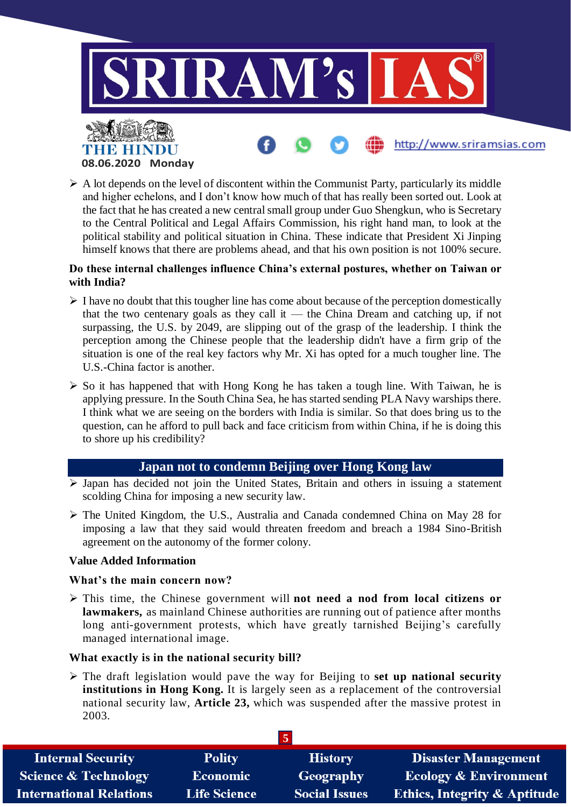

 $\triangleright$  A lot depends on the level of discontent within the Communist Party, particularly its middle and higher echelons, and I don't know how much of that has really been sorted out. Look at the fact that he has created a new central small group under Guo Shengkun, who is Secretary to the Central Political and Legal Affairs Commission, his right hand man, to look at the political stability and political situation in China. These indicate that President Xi Jinping himself knows that there are problems ahead, and that his own position is not 100% secure.

### **Do these internal challenges influence China's external postures, whether on Taiwan or with India?**

- $\triangleright$  I have no doubt that this tougher line has come about because of the perception domestically that the two centenary goals as they call it — the China Dream and catching up, if not surpassing, the U.S. by 2049, are slipping out of the grasp of the leadership. I think the perception among the Chinese people that the leadership didn't have a firm grip of the situation is one of the real key factors why Mr. Xi has opted for a much tougher line. The U.S.-China factor is another.
- $\triangleright$  So it has happened that with Hong Kong he has taken a tough line. With Taiwan, he is applying pressure. In the South China Sea, he has started sending PLA Navy warships there. I think what we are seeing on the borders with India is similar. So that does bring us to the question, can he afford to pull back and face criticism from within China, if he is doing this to shore up his credibility?

# **Japan not to condemn Beijing over Hong Kong law**

- $\triangleright$  Japan has decided not join the United States, Britain and others in issuing a statement scolding China for imposing a new security law.
- The United Kingdom, the U.S., Australia and Canada condemned China on May 28 for imposing a law that they said would threaten freedom and breach a 1984 Sino-British agreement on the autonomy of the former colony.

#### **Value Added Information**

#### **What's the main concern now?**

 This time, the Chinese government will **not need a nod from local citizens or lawmakers,** as mainland Chinese authorities are running out of patience after months long anti-government protests, which have greatly tarnished Beijing's carefully managed international image.

# **What exactly is in the national security bill?**

 The draft legislation would pave the way for Beijing to **set up national security institutions in Hong Kong.** It is largely seen as a replacement of the controversial national security law, **Article 23,** which was suspended after the massive protest in 2003.

| <b>Internal Security</b>        | <b>Polity</b>       | <b>History</b>       | <b>Disaster Management</b>              |
|---------------------------------|---------------------|----------------------|-----------------------------------------|
| <b>Science &amp; Technology</b> | <b>Economic</b>     | Geography            | <b>Ecology &amp; Environment</b>        |
| <b>International Relations</b>  | <b>Life Science</b> | <b>Social Issues</b> | <b>Ethics, Integrity &amp; Aptitude</b> |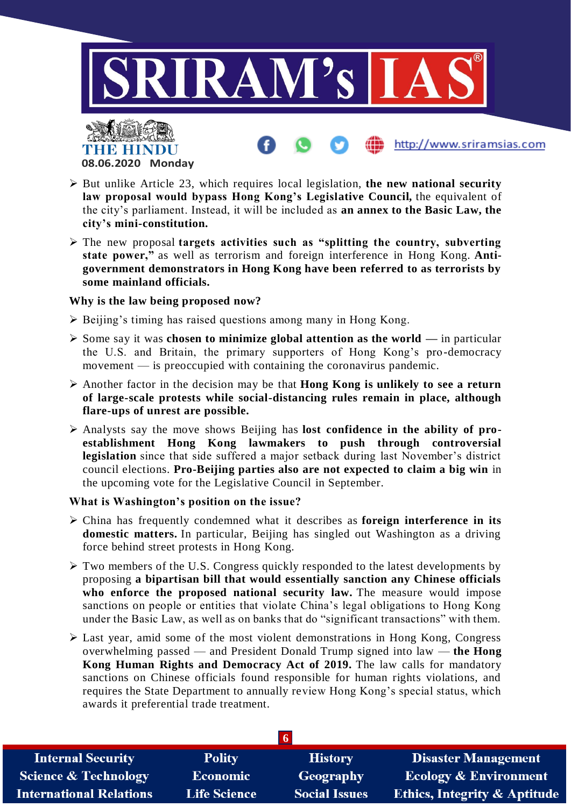

THE HINDU **08.06.2020 Monday**

- But unlike Article 23, which requires local legislation, **the new national security law proposal would bypass Hong Kong's Legislative Council,** the equivalent of the city's parliament. Instead, it will be included as **an annex to the Basic Law, the city's mini-constitution.**
- The new proposal **targets activities such as "splitting the country, subverting state power,"** as well as terrorism and foreign interference in Hong Kong. **Antigovernment demonstrators in Hong Kong have been referred to as terrorists by some mainland officials.**

#### **Why is the law being proposed now?**

- Beijing's timing has raised questions among many in Hong Kong.
- Some say it was **chosen to minimize global attention as the world —** in particular the U.S. and Britain, the primary supporters of Hong Kong's pro-democracy movement — is preoccupied with containing the coronavirus pandemic.
- Another factor in the decision may be that **Hong Kong is unlikely to see a return of large-scale protests while social-distancing rules remain in place, although flare-ups of unrest are possible.**
- Analysts say the move shows Beijing has **lost confidence in the ability of proestablishment Hong Kong lawmakers to push through controversial legislation** since that side suffered a major setback during last November's district council elections. **Pro-Beijing parties also are not expected to claim a big win** in the upcoming vote for the Legislative Council in September.

#### **What is Washington's position on the issue?**

- China has frequently condemned what it describes as **foreign interference in its domestic matters.** In particular, Beijing has singled out Washington as a driving force behind street protests in Hong Kong.
- $\triangleright$  Two members of the U.S. Congress quickly responded to the latest developments by proposing **a bipartisan bill that would essentially sanction any Chinese officials who enforce the proposed national security law.** The measure would impose sanctions on people or entities that violate China's legal obligations to Hong Kong under the Basic Law, as well as on banks that do "significant transactions" with them.
- Last year, amid some of the most violent demonstrations in Hong Kong, Congress overwhelming passed — and President Donald Trump signed into law — **the Hong Kong Human Rights and Democracy Act of 2019.** The law calls for mandatory sanctions on Chinese officials found responsible for human rights violations, and requires the State Department to annually review Hong Kong's special status, which awards it preferential trade treatment.

| <b>Internal Security</b>        | <b>Polity</b>       | <b>History</b>       | <b>Disaster Management</b>              |  |
|---------------------------------|---------------------|----------------------|-----------------------------------------|--|
| <b>Science &amp; Technology</b> | <b>Economic</b>     | Geography            | <b>Ecology &amp; Environment</b>        |  |
| <b>International Relations</b>  | <b>Life Science</b> | <b>Social Issues</b> | <b>Ethics, Integrity &amp; Aptitude</b> |  |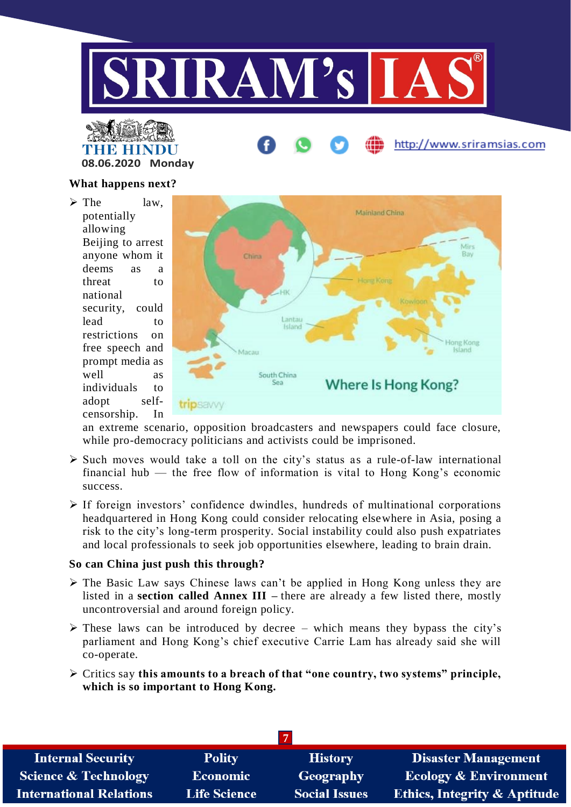



#### **What happens next?**

 $\triangleright$  The law. potentially allowing Beijing to arrest anyone whom it deems as a threat to national security, could lead to restrictions on free speech and prompt media as well as individuals to adopt selfcensorship. In



an extreme scenario, opposition broadcasters and newspapers could face closure, while pro-democracy politicians and activists could be imprisoned.

- $\triangleright$  Such moves would take a toll on the city's status as a rule-of-law international financial hub — the free flow of information is vital to Hong Kong's economic success.
- $\triangleright$  If foreign investors' confidence dwindles, hundreds of multinational corporations headquartered in Hong Kong could consider relocating elsewhere in Asia, posing a risk to the city's long-term prosperity. Social instability could also push expatriates and local professionals to seek job opportunities elsewhere, leading to brain drain.

# **So can China just push this through?**

- $\triangleright$  The Basic Law says Chinese laws can't be applied in Hong Kong unless they are listed in a **section called Annex III –** there are already a few listed there, mostly uncontroversial and around foreign policy.
- $\triangleright$  These laws can be introduced by decree which means they bypass the city's parliament and Hong Kong's chief executive Carrie Lam has already said she will co-operate.
- Critics say **this amounts to a breach of that "one country, two systems" principle, which is so important to Hong Kong.**

| <b>Internal Security</b>        | <b>Polity</b>       | <b>History</b>       | <b>Disaster Management</b>              |  |
|---------------------------------|---------------------|----------------------|-----------------------------------------|--|
| <b>Science &amp; Technology</b> | <b>Economic</b>     | Geography            | <b>Ecology &amp; Environment</b>        |  |
| <b>International Relations</b>  | <b>Life Science</b> | <b>Social Issues</b> | <b>Ethics, Integrity &amp; Aptitude</b> |  |